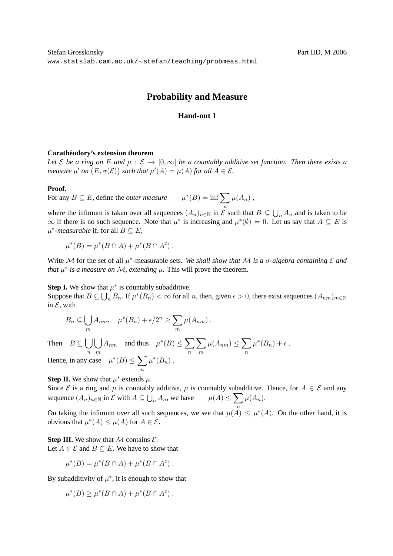# **Probability and Measure**

# **Hand-out 1**

### $Carathéodory's extension theorem$

*Let*  $\mathcal E$  *be a ring on*  $E$  *and*  $\mu : \mathcal E \to [0,\infty]$  *be a countably additive set function. Then there exists a measure*  $\mu'$  on  $(E, \sigma(\mathcal{E}))$  such that  $\mu'(A) = \mu(A)$  for all  $A \in \mathcal{E}$ .

#### **Proof.**

For any  $B \subseteq E$ , define the *outer measure*  $\iota^*(B) = \inf \sum \mu(A_n)$ ,

where the infimum is taken over all sequences  $(A_n)_{n\in\mathbb{N}}$  in  $\mathcal{E}$  such that  $B\subseteq\bigcup_n A_n$  and is taken to be  $\infty$  if there is no such sequence. Note that  $\mu^*$  is increasing and  $\mu^*(\emptyset) = 0$ . Let us say that  $A \subseteq E$  is  $\mu^*$ -measurable if, for all  $B \subseteq E$ ,

$$
\mu^*(B) = \mu^*(B \cap A) + \mu^*(B \cap A^c) .
$$

Write M for the set of all  $\mu^*$ -measurable sets. We shall show that M is a  $\sigma$ -algebra containing  $\mathcal E$  and *that*  $\mu^*$  *is a measure on M, extending*  $\mu$ *. This will prove the theorem.* 

**Step I.** We show that  $\mu^*$  is countably subadditive.

Suppose that  $B \subseteq \bigcup_n B_n$ . If  $\mu^*(B_n) < \infty$  for all n, then, given  $\epsilon > 0$ , there exist sequences  $(A_{nm})_{m \in \mathbb{N}}$ in  $\mathcal{E}$ , with

$$
B_n \subseteq \bigcup_m A_{nm}, \quad \mu^*(B_n) + \epsilon/2^n \ge \sum_m \mu(A_{nm}).
$$

Then  $B \subseteq \left[ \right]$ n  $\vert \ \ \vert$ m  $A_{nm}$  and thus  $\mu^*(B) \leq \sum$ n  $\sum$ m  $\mu(A_{nm}) \leq \sum$ n  $\mu^*(B_n) + \epsilon$ . Hence, in any case  $\mu^*(B) \leq \sum$ n  $\mu^*(B_n)$ .

**Step II.** We show that  $\mu^*$  extends  $\mu$ .

Since  $\mathcal E$  is a ring and  $\mu$  is countably additive,  $\mu$  is countably subadditive. Hence, for  $A \in \mathcal E$  and any sequence  $(A_n)_{n \in \mathbb{N}}$  in  $\mathcal{E}$  with  $A \subseteq \bigcup_n A_n$ , we have  $\mu(A) \leq \sum_{n} \mu(A_n)$ .

On taking the infimum over all such sequences, we see that  $\mu(A) \leq \mu^*(A)$ . On the other hand, it is obvious that  $\mu^*(A) \leq \mu(A)$  for  $A \in \mathcal{E}$ .

## **Step III.** We show that  $M$  contains  $\mathcal{E}$ .

Let  $A \in \mathcal{E}$  and  $B \subseteq E$ . We have to show that

$$
\mu^*(B) = \mu^*(B \cap A) + \mu^*(B \cap A^c) .
$$

By subadditivity of  $\mu^*$ , it is enough to show that

$$
\mu^*(B) \ge \mu^*(B \cap A) + \mu^*(B \cap A^c) .
$$